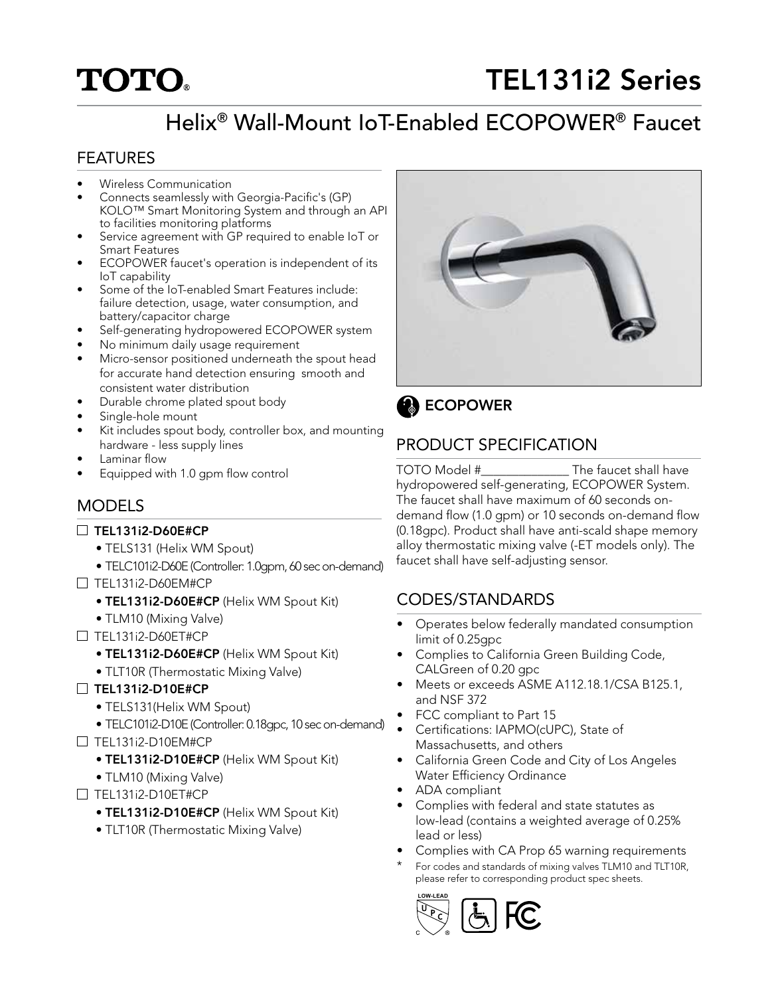# **TOTO**

## TEL131i2 Series

## Helix® Wall-Mount IoT-Enabled ECOPOWER® Faucet

### FEATURES

- Wireless Communication
- Connects seamlessly with Georgia-Pacific's (GP) KOLO™ Smart Monitoring System and through an API to facilities monitoring platforms
- Service agreement with GP required to enable IoT or Smart Features
- ECOPOWER faucet's operation is independent of its IoT capability
- Some of the IoT-enabled Smart Features include: failure detection, usage, water consumption, and battery/capacitor charge
- Self-generating hydropowered ECOPOWER system
- No minimum daily usage requirement
- Micro-sensor positioned underneath the spout head for accurate hand detection ensuring smooth and consistent water distribution
- Durable chrome plated spout body
- Single-hole mount
- Kit includes spout body, controller box, and mounting hardware - less supply lines
- Laminar flow
- Equipped with 1.0 gpm flow control

### MODELS

#### $\Box$  TEL131i2-D60E#CP

- TELS131 (Helix WM Spout)
- TELC101i2-D60E (Controller: 1.0gpm, 60 sec on-demand)
- TEL131i2-D60EM#CP
	- TEL131i2-D60E#CP (Helix WM Spout Kit)
	- TLM10 (Mixing Valve)
- TEL131i2-D60ET#CP
	- TEL131i2-D60E#CP (Helix WM Spout Kit)
	- TLT10R (Thermostatic Mixing Valve)
- $\Box$  TEL131i2-D10E#CP
	- TELS131(Helix WM Spout)
- TELC101i2-D10E (Controller: 0.18gpc, 10 sec on-demand)  $\Box$  TEL131i2-D10EM#CP
	- TEL131i2-D10E#CP (Helix WM Spout Kit)
	- TLM10 (Mixing Valve)
- $\Box$  TEL131i2-D10ET#CP
	- TEL131i2-D10E#CP (Helix WM Spout Kit)
	- TLT10R (Thermostatic Mixing Valve)



**B** ECOPOWER

### PRODUCT SPECIFICATION

TOTO Model #\_\_\_\_\_\_\_\_\_\_\_\_\_\_ The faucet shall have hydropowered self-generating, ECOPOWER System. The faucet shall have maximum of 60 seconds ondemand flow (1.0 gpm) or 10 seconds on-demand flow (0.18gpc). Product shall have anti-scald shape memory alloy thermostatic mixing valve (-ET models only). The faucet shall have self-adjusting sensor.

### CODES/STANDARDS

- Operates below federally mandated consumption limit of 0.25gpc
- Complies to California Green Building Code, CALGreen of 0.20 gpc
- Meets or exceeds ASME A112.18.1/CSA B125.1, and NSF 372
- FCC compliant to Part 15
- Certifications: IAPMO(cUPC), State of Massachusetts, and others
- California Green Code and City of Los Angeles Water Efficiency Ordinance
- ADA compliant
- Complies with federal and state statutes as low-lead (contains a weighted average of 0.25% lead or less)
- Complies with CA Prop 65 warning requirements
- For codes and standards of mixing valves TLM10 and TLT10R, please refer to corresponding product spec sheets.